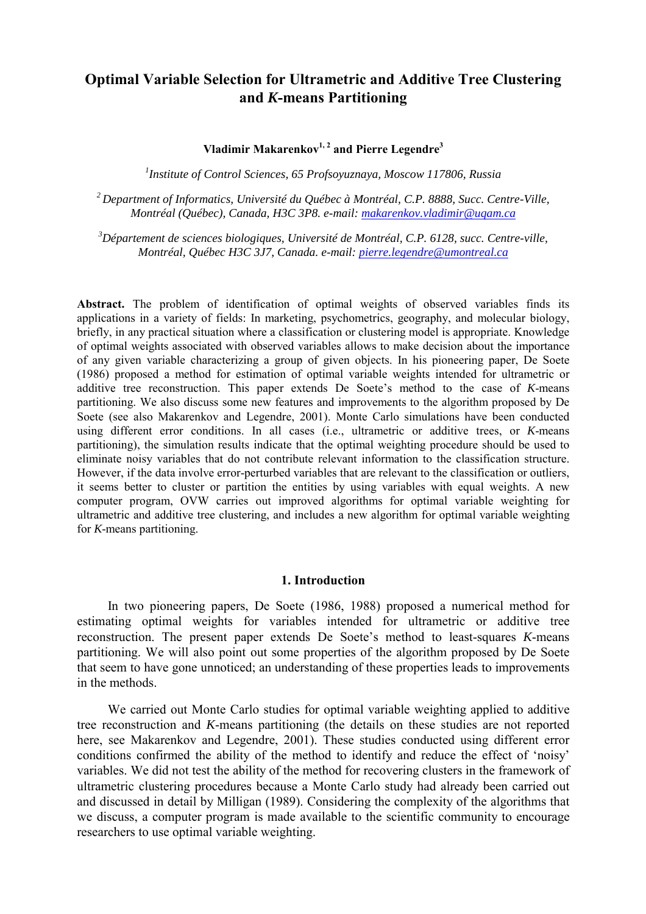# **Optimal Variable Selection for Ultrametric and Additive Tree Clustering and** *K***-means Partitioning**

**Vladimir Makarenkov1, 2 and Pierre Legendre3** 

*1 Institute of Control Sciences, 65 Profsoyuznaya, Moscow 117806, Russia* 

*2 Department of Informatics, Université du Québec à Montréal, C.P. 8888, Succ. Centre-Ville, Montréal (Québec), Canada, H3C 3P8. e-mail: makarenkov.vladimir@uqam.ca*

*3 Département de sciences biologiques, Université de Montréal, C.P. 6128, succ. Centre-ville, Montréal, Québec H3C 3J7, Canada. e-mail: pierre.legendre@umontreal.ca*

**Abstract.** The problem of identification of optimal weights of observed variables finds its applications in a variety of fields: In marketing, psychometrics, geography, and molecular biology, briefly, in any practical situation where a classification or clustering model is appropriate. Knowledge of optimal weights associated with observed variables allows to make decision about the importance of any given variable characterizing a group of given objects. In his pioneering paper, De Soete (1986) proposed a method for estimation of optimal variable weights intended for ultrametric or additive tree reconstruction. This paper extends De Soete's method to the case of *K*-means partitioning. We also discuss some new features and improvements to the algorithm proposed by De Soete (see also Makarenkov and Legendre, 2001). Monte Carlo simulations have been conducted using different error conditions. In all cases (i.e., ultrametric or additive trees, or *K*-means partitioning), the simulation results indicate that the optimal weighting procedure should be used to eliminate noisy variables that do not contribute relevant information to the classification structure. However, if the data involve error-perturbed variables that are relevant to the classification or outliers, it seems better to cluster or partition the entities by using variables with equal weights. A new computer program, OVW carries out improved algorithms for optimal variable weighting for ultrametric and additive tree clustering, and includes a new algorithm for optimal variable weighting for *K*-means partitioning.

## **1. Introduction**

 In two pioneering papers, De Soete (1986, 1988) proposed a numerical method for estimating optimal weights for variables intended for ultrametric or additive tree reconstruction. The present paper extends De Soete's method to least-squares *K*-means partitioning. We will also point out some properties of the algorithm proposed by De Soete that seem to have gone unnoticed; an understanding of these properties leads to improvements in the methods.

 We carried out Monte Carlo studies for optimal variable weighting applied to additive tree reconstruction and *K*-means partitioning (the details on these studies are not reported here, see Makarenkov and Legendre, 2001). These studies conducted using different error conditions confirmed the ability of the method to identify and reduce the effect of 'noisy' variables. We did not test the ability of the method for recovering clusters in the framework of ultrametric clustering procedures because a Monte Carlo study had already been carried out and discussed in detail by Milligan (1989). Considering the complexity of the algorithms that we discuss, a computer program is made available to the scientific community to encourage researchers to use optimal variable weighting.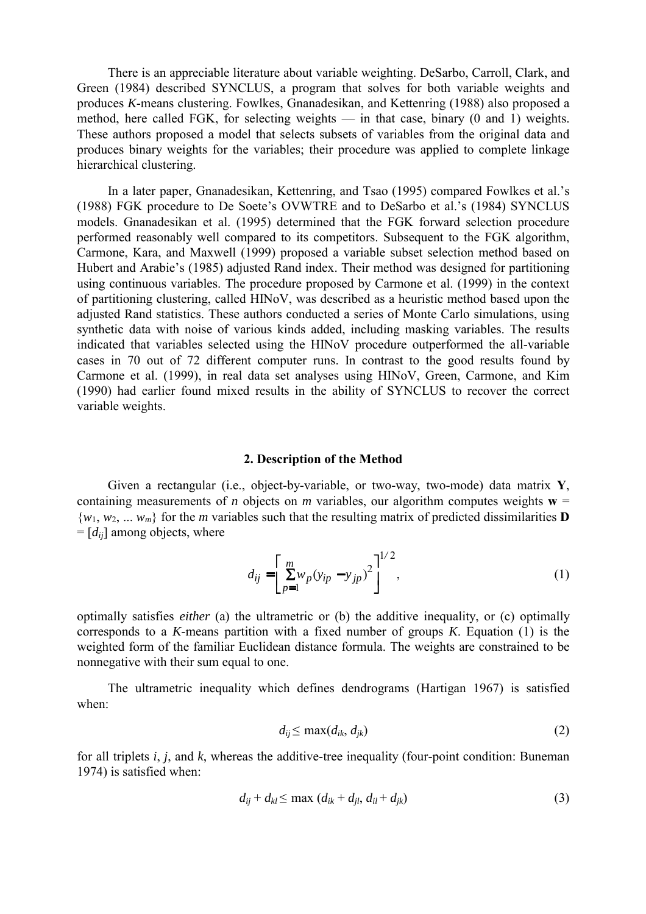There is an appreciable literature about variable weighting. DeSarbo, Carroll, Clark, and Green (1984) described SYNCLUS, a program that solves for both variable weights and produces *K*-means clustering. Fowlkes, Gnanadesikan, and Kettenring (1988) also proposed a method, here called FGK, for selecting weights — in that case, binary (0 and 1) weights. These authors proposed a model that selects subsets of variables from the original data and produces binary weights for the variables; their procedure was applied to complete linkage hierarchical clustering.

 In a later paper, Gnanadesikan, Kettenring, and Tsao (1995) compared Fowlkes et al.'s (1988) FGK procedure to De Soete's OVWTRE and to DeSarbo et al.'s (1984) SYNCLUS models. Gnanadesikan et al. (1995) determined that the FGK forward selection procedure performed reasonably well compared to its competitors. Subsequent to the FGK algorithm, Carmone, Kara, and Maxwell (1999) proposed a variable subset selection method based on Hubert and Arabie's (1985) adjusted Rand index. Their method was designed for partitioning using continuous variables. The procedure proposed by Carmone et al. (1999) in the context of partitioning clustering, called HINoV, was described as a heuristic method based upon the adjusted Rand statistics. These authors conducted a series of Monte Carlo simulations, using synthetic data with noise of various kinds added, including masking variables. The results indicated that variables selected using the HINoV procedure outperformed the all-variable cases in 70 out of 72 different computer runs. In contrast to the good results found by Carmone et al. (1999), in real data set analyses using HINoV, Green, Carmone, and Kim (1990) had earlier found mixed results in the ability of SYNCLUS to recover the correct variable weights.

### **2. Description of the Method**

 Given a rectangular (i.e., object-by-variable, or two-way, two-mode) data matrix **Y**, containing measurements of *n* objects on *m* variables, our algorithm computes weights  $w =$  $\{w_1, w_2, \ldots, w_m\}$  for the *m* variables such that the resulting matrix of predicted dissimilarities **D**  $=[d_{ii}]$  among objects, where

$$
d_{ij} = \left[ \sum_{p=1}^{m} w_p (y_{ip} - y_{jp})^2 \right]^{1/2},
$$
 (1)

optimally satisfies *either* (a) the ultrametric or (b) the additive inequality, or (c) optimally corresponds to a *K*-means partition with a fixed number of groups *K*. Equation (1) is the weighted form of the familiar Euclidean distance formula. The weights are constrained to be nonnegative with their sum equal to one.

 The ultrametric inequality which defines dendrograms (Hartigan 1967) is satisfied when:

$$
d_{ij} \leq \max(d_{ik}, d_{jk}) \tag{2}
$$

for all triplets *i*, *j*, and *k*, whereas the additive-tree inequality (four-point condition: Buneman 1974) is satisfied when:

$$
d_{ij} + d_{kl} \le \max \left( d_{ik} + d_{jl}, d_{il} + d_{jk} \right) \tag{3}
$$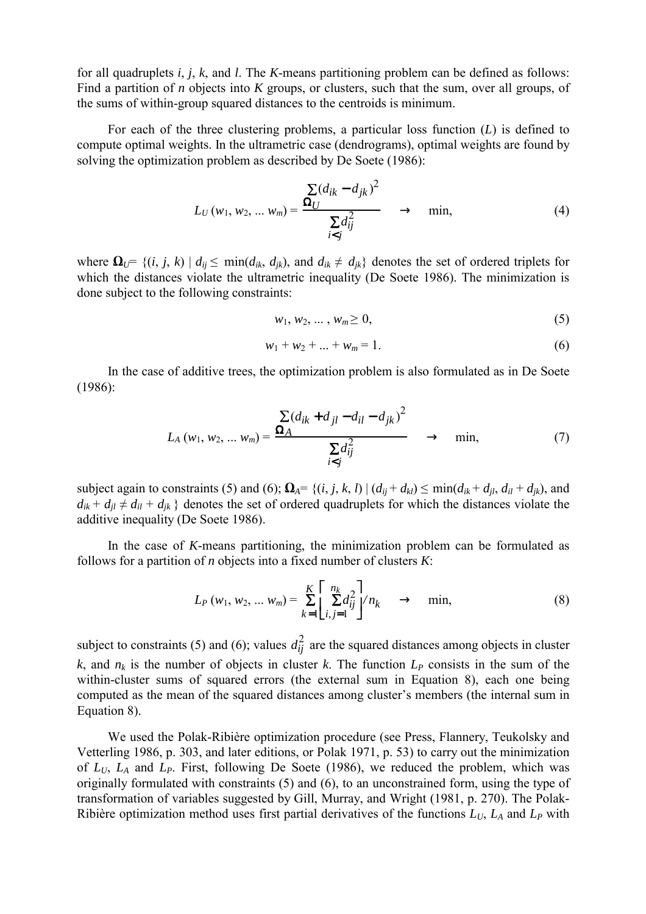for all quadruplets *i*, *j*, *k*, and *l*. The *K*-means partitioning problem can be defined as follows: Find a partition of *n* objects into *K* groups, or clusters, such that the sum, over all groups, of the sums of within-group squared distances to the centroids is minimum.

 For each of the three clustering problems, a particular loss function (*L*) is defined to compute optimal weights. In the ultrametric case (dendrograms), optimal weights are found by solving the optimization problem as described by De Soete (1986):

$$
L_U(w_1, w_2, ..., w_m) = \frac{\sum (d_{ik} - d_{jk})^2}{\sum d_{ij}^2} \rightarrow \min, \tag{4}
$$

where  $\Omega_{U} = \{(i, j, k) | d_{ij} \le \min(d_{ik}, d_{ik})\}$ , and  $d_{ik} \ne d_{ik}$  denotes the set of ordered triplets for which the distances violate the ultrametric inequality (De Soete 1986). The minimization is done subject to the following constraints:

$$
w_1, w_2, \dots, w_m \geq 0,\tag{5}
$$

$$
w_1 + w_2 + \dots + w_m = 1. \tag{6}
$$

 In the case of additive trees, the optimization problem is also formulated as in De Soete (1986):

$$
L_A(w_1, w_2, ..., w_m) = \frac{\sum (d_{ik} + d_{jl} - d_{il} - d_{jk})^2}{\sum d_{ij}^2} \rightarrow \min, \tag{7}
$$

subject again to constraints (5) and (6);  $\mathbf{\Omega}_A = \{(i, j, k, l) | (d_{ij} + d_{kl}) \le \min(d_{ik} + d_{jl}, d_{il} + d_{jk})\}$ , and  $d_{ik} + d_{il} \neq d_{il} + d_{ik}$  } denotes the set of ordered quadruplets for which the distances violate the additive inequality (De Soete 1986).

 In the case of *K*-means partitioning, the minimization problem can be formulated as follows for a partition of *n* objects into a fixed number of clusters *K*:

$$
L_P(w_1, w_2, ... w_m) = \sum_{k=1}^{K} \left[ \sum_{i,j=1}^{n_k} d_{ij}^2 \right] / n_k \longrightarrow \text{min}, \tag{8}
$$

subject to constraints (5) and (6); values  $d_{ij}^2$  are the squared distances among objects in cluster  $k$ , and  $n_k$  is the number of objects in cluster  $k$ . The function  $L_p$  consists in the sum of the within-cluster sums of squared errors (the external sum in Equation 8), each one being computed as the mean of the squared distances among cluster's members (the internal sum in Equation 8).

 We used the Polak-Ribière optimization procedure (see Press, Flannery, Teukolsky and Vetterling 1986, p. 303, and later editions, or Polak 1971, p. 53) to carry out the minimization of *LU*, *LA* and *LP*. First, following De Soete (1986), we reduced the problem, which was originally formulated with constraints (5) and (6), to an unconstrained form, using the type of transformation of variables suggested by Gill, Murray, and Wright (1981, p. 270). The Polak-Ribière optimization method uses first partial derivatives of the functions  $L_U$ ,  $L_A$  and  $L_P$  with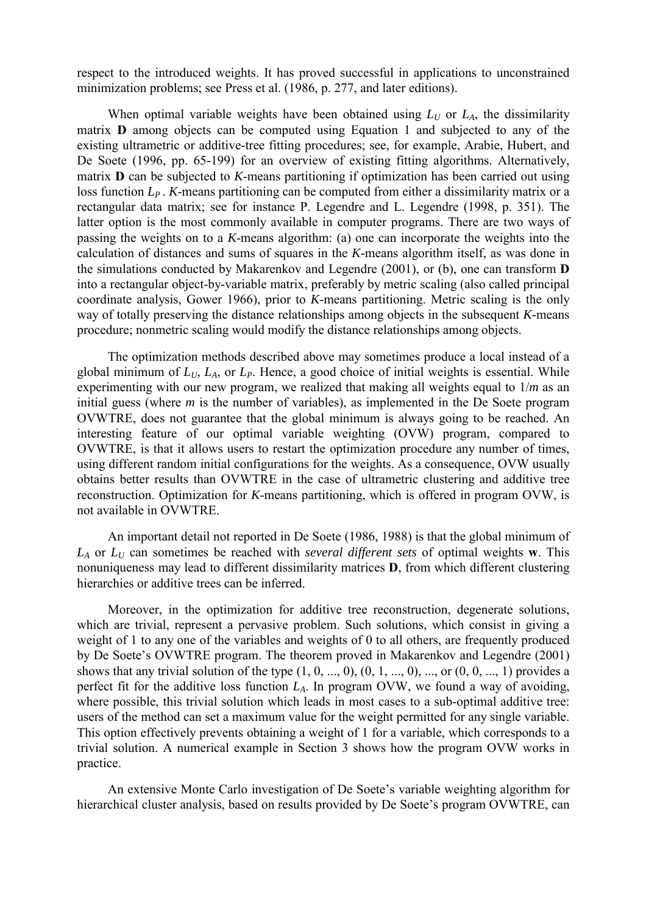respect to the introduced weights. It has proved successful in applications to unconstrained minimization problems; see Press et al. (1986, p. 277, and later editions).

When optimal variable weights have been obtained using  $L_U$  or  $L_A$ , the dissimilarity matrix **D** among objects can be computed using Equation 1 and subjected to any of the existing ultrametric or additive-tree fitting procedures; see, for example, Arabie, Hubert, and De Soete (1996, pp. 65-199) for an overview of existing fitting algorithms. Alternatively, matrix **D** can be subjected to *K*-means partitioning if optimization has been carried out using loss function  $L_p$ . *K*-means partitioning can be computed from either a dissimilarity matrix or a rectangular data matrix; see for instance P. Legendre and L. Legendre (1998, p. 351). The latter option is the most commonly available in computer programs. There are two ways of passing the weights on to a *K*-means algorithm: (a) one can incorporate the weights into the calculation of distances and sums of squares in the *K*-means algorithm itself, as was done in the simulations conducted by Makarenkov and Legendre (2001), or (b), one can transform **D** into a rectangular object-by-variable matrix, preferably by metric scaling (also called principal coordinate analysis, Gower 1966), prior to *K*-means partitioning. Metric scaling is the only way of totally preserving the distance relationships among objects in the subsequent *K*-means procedure; nonmetric scaling would modify the distance relationships among objects.

 The optimization methods described above may sometimes produce a local instead of a global minimum of  $L_U$ ,  $L_A$ , or  $L_P$ . Hence, a good choice of initial weights is essential. While experimenting with our new program, we realized that making all weights equal to 1/*m* as an initial guess (where *m* is the number of variables), as implemented in the De Soete program OVWTRE, does not guarantee that the global minimum is always going to be reached. An interesting feature of our optimal variable weighting (OVW) program, compared to OVWTRE, is that it allows users to restart the optimization procedure any number of times, using different random initial configurations for the weights. As a consequence, OVW usually obtains better results than OVWTRE in the case of ultrametric clustering and additive tree reconstruction. Optimization for *K*-means partitioning, which is offered in program OVW, is not available in OVWTRE.

 An important detail not reported in De Soete (1986, 1988) is that the global minimum of  $L_A$  or  $L_U$  can sometimes be reached with *several different sets* of optimal weights **w**. This nonuniqueness may lead to different dissimilarity matrices **D**, from which different clustering hierarchies or additive trees can be inferred.

 Moreover, in the optimization for additive tree reconstruction, degenerate solutions, which are trivial, represent a pervasive problem. Such solutions, which consist in giving a weight of 1 to any one of the variables and weights of 0 to all others, are frequently produced by De Soete's OVWTRE program. The theorem proved in Makarenkov and Legendre (2001) shows that any trivial solution of the type  $(1, 0, ..., 0), (0, 1, ..., 0), ...,$  or  $(0, 0, ..., 1)$  provides a perfect fit for the additive loss function *LA*. In program OVW, we found a way of avoiding, where possible, this trivial solution which leads in most cases to a sub-optimal additive tree: users of the method can set a maximum value for the weight permitted for any single variable. This option effectively prevents obtaining a weight of 1 for a variable, which corresponds to a trivial solution. A numerical example in Section 3 shows how the program OVW works in practice.

 An extensive Monte Carlo investigation of De Soete's variable weighting algorithm for hierarchical cluster analysis, based on results provided by De Soete's program OVWTRE, can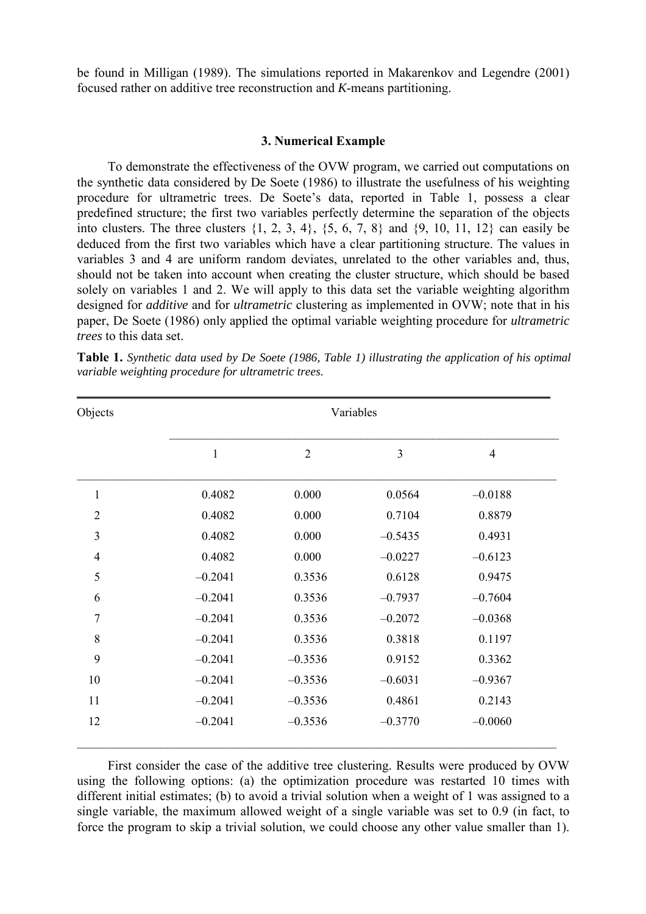be found in Milligan (1989). The simulations reported in Makarenkov and Legendre (2001) focused rather on additive tree reconstruction and *K*-means partitioning.

### **3. Numerical Example**

 To demonstrate the effectiveness of the OVW program, we carried out computations on the synthetic data considered by De Soete (1986) to illustrate the usefulness of his weighting procedure for ultrametric trees. De Soete's data, reported in Table 1, possess a clear predefined structure; the first two variables perfectly determine the separation of the objects into clusters. The three clusters  $\{1, 2, 3, 4\}$ ,  $\{5, 6, 7, 8\}$  and  $\{9, 10, 11, 12\}$  can easily be deduced from the first two variables which have a clear partitioning structure. The values in variables 3 and 4 are uniform random deviates, unrelated to the other variables and, thus, should not be taken into account when creating the cluster structure, which should be based solely on variables 1 and 2. We will apply to this data set the variable weighting algorithm designed for *additive* and for *ultrametric* clustering as implemented in OVW; note that in his paper, De Soete (1986) only applied the optimal variable weighting procedure for *ultrametric trees* to this data set.

| Objects        | Variables    |                |                |                |
|----------------|--------------|----------------|----------------|----------------|
|                | $\mathbf{1}$ | $\overline{2}$ | $\mathfrak{Z}$ | $\overline{4}$ |
| $\mathbf{1}$   | 0.4082       | 0.000          | 0.0564         | $-0.0188$      |
| $\overline{2}$ | 0.4082       | 0.000          | 0.7104         | 0.8879         |
| 3              | 0.4082       | 0.000          | $-0.5435$      | 0.4931         |
| $\overline{4}$ | 0.4082       | 0.000          | $-0.0227$      | $-0.6123$      |
| 5              | $-0.2041$    | 0.3536         | 0.6128         | 0.9475         |
| 6              | $-0.2041$    | 0.3536         | $-0.7937$      | $-0.7604$      |
| $\overline{7}$ | $-0.2041$    | 0.3536         | $-0.2072$      | $-0.0368$      |
| 8              | $-0.2041$    | 0.3536         | 0.3818         | 0.1197         |
| 9              | $-0.2041$    | $-0.3536$      | 0.9152         | 0.3362         |
| 10             | $-0.2041$    | $-0.3536$      | $-0.6031$      | $-0.9367$      |
| 11             | $-0.2041$    | $-0.3536$      | 0.4861         | 0.2143         |
| 12             | $-0.2041$    | $-0.3536$      | $-0.3770$      | $-0.0060$      |

**Table 1.** *Synthetic data used by De Soete (1986, Table 1) illustrating the application of his optimal variable weighting procedure for ultrametric trees.*

 First consider the case of the additive tree clustering. Results were produced by OVW using the following options: (a) the optimization procedure was restarted 10 times with different initial estimates; (b) to avoid a trivial solution when a weight of 1 was assigned to a single variable, the maximum allowed weight of a single variable was set to 0.9 (in fact, to force the program to skip a trivial solution, we could choose any other value smaller than 1).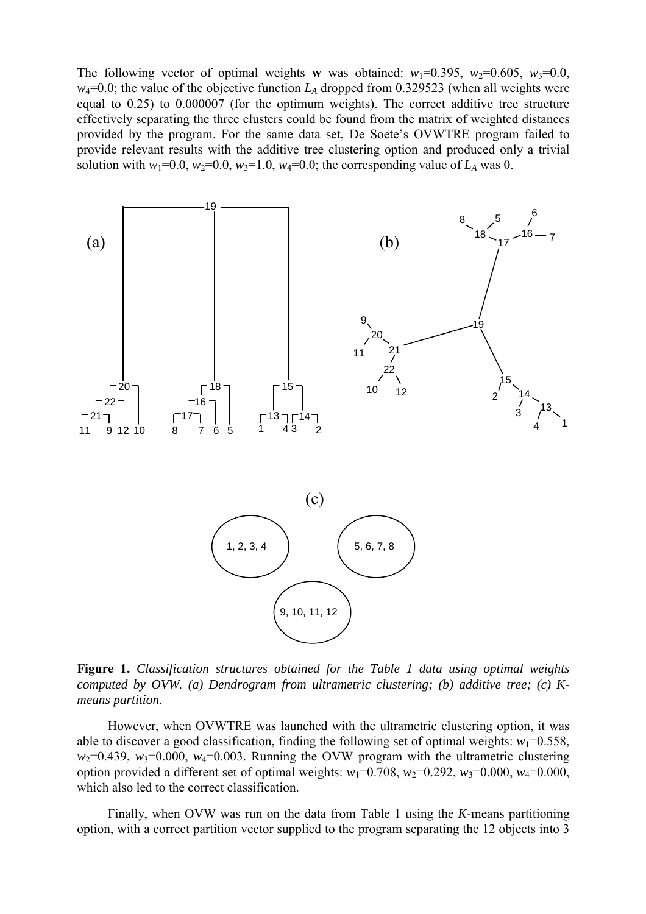The following vector of optimal weights **w** was obtained:  $w_1=0.395$ ,  $w_2=0.605$ ,  $w_3=0.0$ ,  $w_4$ =0.0; the value of the objective function  $L_A$  dropped from 0.329523 (when all weights were equal to 0.25) to 0.000007 (for the optimum weights). The correct additive tree structure effectively separating the three clusters could be found from the matrix of weighted distances provided by the program. For the same data set, De Soete's OVWTRE program failed to provide relevant results with the additive tree clustering option and produced only a trivial solution with  $w_1=0.0$ ,  $w_2=0.0$ ,  $w_3=1.0$ ,  $w_4=0.0$ ; the corresponding value of  $L_A$  was 0.



**Figure 1.** *Classification structures obtained for the Table 1 data using optimal weights computed by OVW. (a) Dendrogram from ultrametric clustering; (b) additive tree; (c) Kmeans partition.* 

 However, when OVWTRE was launched with the ultrametric clustering option, it was able to discover a good classification, finding the following set of optimal weights:  $w_1=0.558$ ,  $w_2=0.439$ ,  $w_3=0.000$ ,  $w_4=0.003$ . Running the OVW program with the ultrametric clustering option provided a different set of optimal weights:  $w_1=0.708$ ,  $w_2=0.292$ ,  $w_3=0.000$ ,  $w_4=0.000$ , which also led to the correct classification.

 Finally, when OVW was run on the data from Table 1 using the *K*-means partitioning option, with a correct partition vector supplied to the program separating the 12 objects into 3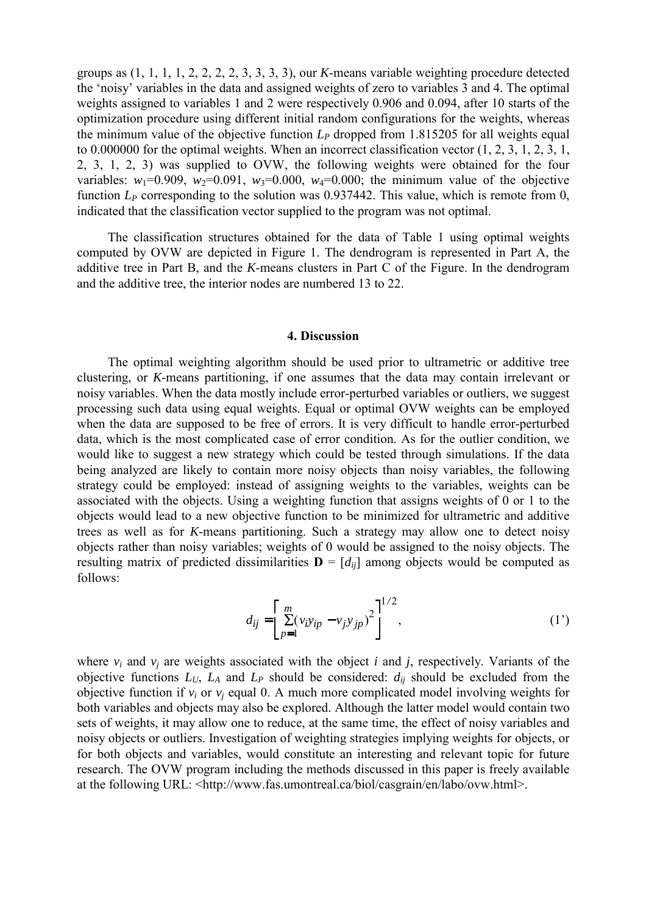groups as (1, 1, 1, 1, 2, 2, 2, 2, 3, 3, 3, 3), our *K*-means variable weighting procedure detected the 'noisy' variables in the data and assigned weights of zero to variables 3 and 4. The optimal weights assigned to variables 1 and 2 were respectively 0.906 and 0.094, after 10 starts of the optimization procedure using different initial random configurations for the weights, whereas the minimum value of the objective function  $L_p$  dropped from 1.815205 for all weights equal to 0.000000 for the optimal weights. When an incorrect classification vector (1, 2, 3, 1, 2, 3, 1, 2, 3, 1, 2, 3) was supplied to OVW, the following weights were obtained for the four variables:  $w_1=0.909$ ,  $w_2=0.091$ ,  $w_3=0.000$ ,  $w_4=0.000$ ; the minimum value of the objective function *L<sub>P</sub>* corresponding to the solution was 0.937442. This value, which is remote from 0, indicated that the classification vector supplied to the program was not optimal.

 The classification structures obtained for the data of Table 1 using optimal weights computed by OVW are depicted in Figure 1. The dendrogram is represented in Part A, the additive tree in Part B, and the *K*-means clusters in Part C of the Figure. In the dendrogram and the additive tree, the interior nodes are numbered 13 to 22.

#### **4. Discussion**

 The optimal weighting algorithm should be used prior to ultrametric or additive tree clustering, or *K*-means partitioning, if one assumes that the data may contain irrelevant or noisy variables. When the data mostly include error-perturbed variables or outliers, we suggest processing such data using equal weights. Equal or optimal OVW weights can be employed when the data are supposed to be free of errors. It is very difficult to handle error-perturbed data, which is the most complicated case of error condition. As for the outlier condition, we would like to suggest a new strategy which could be tested through simulations. If the data being analyzed are likely to contain more noisy objects than noisy variables, the following strategy could be employed: instead of assigning weights to the variables, weights can be associated with the objects. Using a weighting function that assigns weights of 0 or 1 to the objects would lead to a new objective function to be minimized for ultrametric and additive trees as well as for *K*-means partitioning. Such a strategy may allow one to detect noisy objects rather than noisy variables; weights of 0 would be assigned to the noisy objects. The resulting matrix of predicted dissimilarities  $\mathbf{D} = [d_{ii}]$  among objects would be computed as follows:

$$
d_{ij} = \left[ \sum_{p=1}^{m} (v_i y_{ip} - v_j y_{jp})^2 \right]^{1/2},
$$
 (1')

where  $v_i$  and  $v_j$  are weights associated with the object *i* and *j*, respectively. Variants of the objective functions  $L_U$ ,  $L_A$  and  $L_P$  should be considered:  $d_{ij}$  should be excluded from the objective function if  $v_i$  or  $v_j$  equal 0. A much more complicated model involving weights for both variables and objects may also be explored. Although the latter model would contain two sets of weights, it may allow one to reduce, at the same time, the effect of noisy variables and noisy objects or outliers. Investigation of weighting strategies implying weights for objects, or for both objects and variables, would constitute an interesting and relevant topic for future research. The OVW program including the methods discussed in this paper is freely available at the following URL: <http://www.fas.umontreal.ca/biol/casgrain/en/labo/ovw.html>.